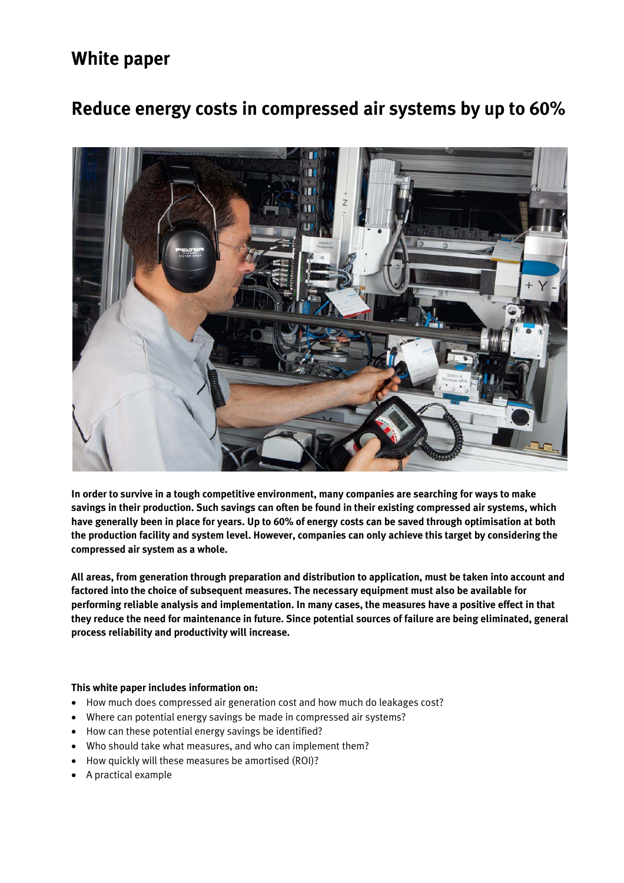# **White paper**

# **Reduce energy costs in compressed air systems by up to 60%**



**In order to survive in a tough competitive environment, many companies are searching for ways to make savings in their production. Such savings can often be found in their existing compressed air systems, which have generally been in place for years. Up to 60% of energy costs can be saved through optimisation at both the production facility and system level. However, companies can only achieve this target by considering the compressed air system as a whole.** 

**All areas, from generation through preparation and distribution to application, must be taken into account and factored into the choice of subsequent measures. The necessary equipment must also be available for performing reliable analysis and implementation. In many cases, the measures have a positive effect in that they reduce the need for maintenance in future. Since potential sources of failure are being eliminated, general process reliability and productivity will increase.** 

# **This white paper includes information on:**

- How much does compressed air generation cost and how much do leakages cost?
- Where can potential energy savings be made in compressed air systems?
- How can these potential energy savings be identified?
- Who should take what measures, and who can implement them?
- How quickly will these measures be amortised (ROI)?
- A practical example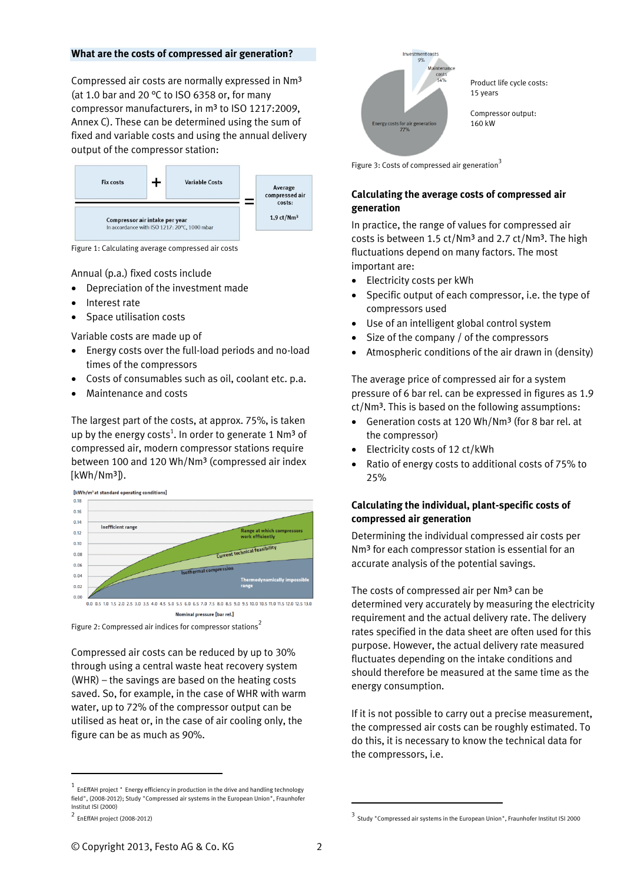#### **What are the costs of compressed air generation?**

Compressed air costs are normally expressed in Nm³ (at 1.0 bar and 20 °C to ISO 6358 or, for many compressor manufacturers, in m<sup>3</sup> to ISO 1217:2009, Annex C). These can be determined using the sum of fixed and variable costs and using the annual delivery output of the compressor station:



Figure 1: Calculating average compressed air costs

Annual (p.a.) fixed costs include

- Depreciation of the investment made
- Interest rate
- Space utilisation costs

Variable costs are made up of

- Energy costs over the full-load periods and no-load times of the compressors
- Costs of consumables such as oil, coolant etc. p.a.
- Maintenance and costs

The largest part of the costs, at approx. 75%, is taken up by the energy costs<sup>1</sup>. In order to generate 1 Nm<sup>3</sup> of compressed air, modern compressor stations require between 100 and 120 Wh/Nm<sup>3</sup> (compressed air index [kWh/Nm<sup>3</sup>]).

[kWh/m<sup>3</sup> at standard operating conditions]



Figure 2: Compressed air indices for compressor stations<sup>2</sup>

Compressed air costs can be reduced by up to 30% through using a central waste heat recovery system (WHR) – the savings are based on the heating costs saved. So, for example, in the case of WHR with warm water, up to 72% of the compressor output can be utilised as heat or, in the case of air cooling only, the figure can be as much as 90%.

j



Figure 3: Costs of compressed air generation<sup>3</sup>

# **Calculating the average costs of compressed air generation**

In practice, the range of values for compressed air costs is between 1.5 ct/Nm<sup>3</sup> and 2.7 ct/Nm<sup>3</sup>. The high fluctuations depend on many factors. The most important are:

- Electricity costs per kWh
- Specific output of each compressor, i.e. the type of compressors used
- Use of an intelligent global control system
- Size of the company / of the compressors
- Atmospheric conditions of the air drawn in (density)

The average price of compressed air for a system pressure of 6 bar rel. can be expressed in figures as 1.9 ct/Nm<sup>3</sup>. This is based on the following assumptions:

- Generation costs at 120 Wh/Nm³ (for 8 bar rel. at the compressor)
- Electricity costs of 12 ct/kWh
- Ratio of energy costs to additional costs of 75% to 25%

# **Calculating the individual, plant-specific costs of compressed air generation**

Determining the individual compressed air costs per Nm<sup>3</sup> for each compressor station is essential for an accurate analysis of the potential savings.

The costs of compressed air per Nm<sup>3</sup> can be determined very accurately by measuring the electricity requirement and the actual delivery rate. The delivery rates specified in the data sheet are often used for this purpose. However, the actual delivery rate measured fluctuates depending on the intake conditions and should therefore be measured at the same time as the energy consumption.

If it is not possible to carry out a precise measurement, the compressed air costs can be roughly estimated. To do this, it is necessary to know the technical data for the compressors, i.e.

j

 $1$  EnEffAH project " Energy efficiency in production in the drive and handling technology field", (2008-2012); Study "Compressed air systems in the European Union", Fraunhofer Institut ISI (2000)

<sup>2</sup> EnEffAH project (2008-2012)

<sup>3</sup> Study "Compressed air systems in the European Union", Fraunhofer Institut ISI 2000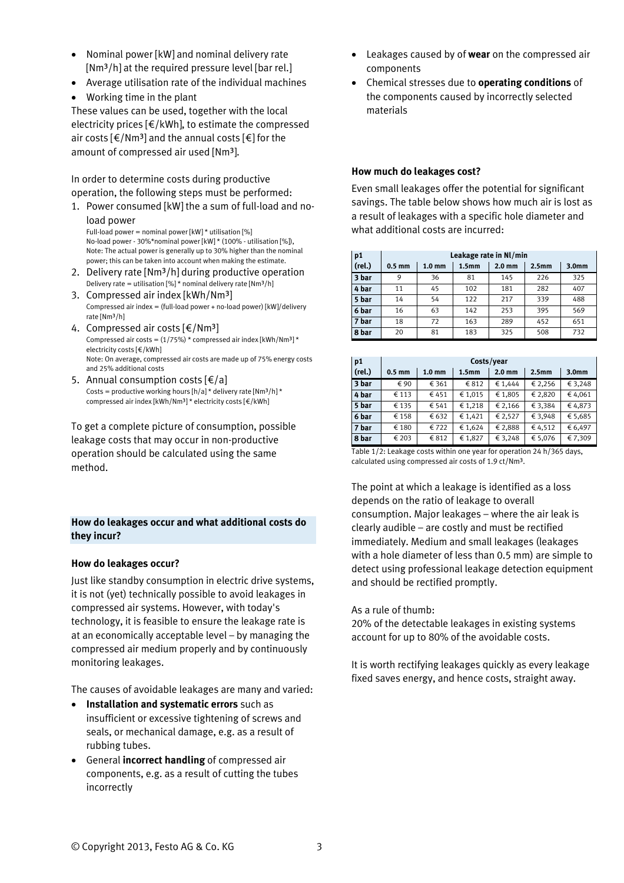- Nominal power [kW] and nominal delivery rate [Nm<sup>3</sup>/h] at the required pressure level [bar rel.]
- Average utilisation rate of the individual machines
- Working time in the plant

These values can be used, together with the local electricity prices [€/kWh], to estimate the compressed air costs  $\lceil \frac{\epsilon}{Nm^3} \rceil$  and the annual costs  $\lceil \frac{\epsilon}{N} \rceil$  for the amount of compressed air used [Nm<sup>3</sup>].

In order to determine costs during productive operation, the following steps must be performed:

1. Power consumed [kW] the a sum of full-load and noload power

Full-load power = nominal power [kW] \* utilisation [%] No-load power - 30%\*nominal power [kW] \* (100% - utilisation [%]), Note: The actual power is generally up to 30% higher than the nominal power; this can be taken into account when making the estimate.

- 2. Delivery rate [Nm<sup>3</sup>/h] during productive operation Delivery rate = utilisation  $[%]$ \* nominal delivery rate  $[Nm^3/h]$
- 3. Compressed air index [kWh/Nm³] Compressed air index = (full-load power + no-load power) [kW]/delivery rate [Nm³/h]
- 4. Compressed air costs  $\lceil \frac{2}{\pi} \rceil$  Nm<sup>3</sup> Compressed air costs =  $(1/75%)$  \* compressed air index [kWh/Nm<sup>3</sup>] \* electricity costs [€/kWh] Note: On average, compressed air costs are made up of 75% energy costs and 25% additional costs
- 5. Annual consumption costs  $[\text{€}/a]$ Costs = productive working hours  $[h/a]$  \* delivery rate  $[Nm^3/h]$  \* compressed air index [kWh/Nm<sup>3</sup>] \* electricity costs [ $\epsilon$ /kWh]

To get a complete picture of consumption, possible leakage costs that may occur in non-productive operation should be calculated using the same method.

# **How do leakages occur and what additional costs do they incur?**

# **How do leakages occur?**

Just like standby consumption in electric drive systems, it is not (yet) technically possible to avoid leakages in compressed air systems. However, with today's technology, it is feasible to ensure the leakage rate is at an economically acceptable level – by managing the compressed air medium properly and by continuously monitoring leakages.

The causes of avoidable leakages are many and varied:

- **Installation and systematic errors** such as insufficient or excessive tightening of screws and seals, or mechanical damage, e.g. as a result of rubbing tubes.
- General **incorrect handling** of compressed air components, e.g. as a result of cutting the tubes incorrectly
- Leakages caused by of **wear** on the compressed air components
- Chemical stresses due to **operating conditions** of the components caused by incorrectly selected materials

#### **How much do leakages cost?**

Even small leakages offer the potential for significant savings. The table below shows how much air is lost as a result of leakages with a specific hole diameter and what additional costs are incurred:

| p1     | Leakage rate in Nl/min |                   |                   |                   |                   |                   |
|--------|------------------------|-------------------|-------------------|-------------------|-------------------|-------------------|
| (rel.) | $0.5$ mm               | 1.0 <sub>mm</sub> | 1.5 <sub>mm</sub> | 2.0 <sub>mm</sub> | 2.5 <sub>mm</sub> | 3.0 <sub>mm</sub> |
| 3 bar  | 9                      | 36                | 81                | 145               | 226               | 325               |
| 4 bar  | 11                     | 45                | 102               | 181               | 282               | 407               |
| 5 bar  | 14                     | 54                | 122               | 217               | 339               | 488               |
| 6 bar  | 16                     | 63                | 142               | 253               | 395               | 569               |
| 7 bar  | 18                     | 72                | 163               | 289               | 452               | 651               |
| 8 bar  | 20                     | 81                | 183               | 325               | 508               | 732               |

| p1     | Costs/year |                   |                   |                   |                   |                   |
|--------|------------|-------------------|-------------------|-------------------|-------------------|-------------------|
| (rel.) | $0.5$ mm   | 1.0 <sub>mm</sub> | 1.5 <sub>mm</sub> | 2.0 <sub>mm</sub> | 2.5 <sub>mm</sub> | 3.0 <sub>mm</sub> |
| 3 bar  | € 90       | € 361             | € 812             | € 1.444           | € 2,256           | € 3,248           |
| 4 bar  | € 113      | € 451             | € 1,015           | € 1.805           | € 2,820           | € 4.061           |
| 5 bar  | € 135      | € 541             | € 1.218           | € 2,166           | € 3,384           | €4.873            |
| 6 bar  | € 158      | € 632             | € 1.421           | € 2,527           | € 3,948           | € 5,685           |
| 7 bar  | € 180      | € 722             | € 1,624           | € 2,888           | €4,512            | € 6,497           |
| 8 bar  | € 203      | € 812             | € 1,827           | € 3,248           | € 5,076           | €7,309            |

Table 1/2: Leakage costs within one year for operation 24 h/365 days, calculated using compressed air costs of 1.9 ct/Nm³.

The point at which a leakage is identified as a loss depends on the ratio of leakage to overall consumption. Major leakages – where the air leak is clearly audible – are costly and must be rectified immediately. Medium and small leakages (leakages with a hole diameter of less than 0.5 mm) are simple to detect using professional leakage detection equipment and should be rectified promptly.

As a rule of thumb:

20% of the detectable leakages in existing systems account for up to 80% of the avoidable costs.

It is worth rectifying leakages quickly as every leakage fixed saves energy, and hence costs, straight away.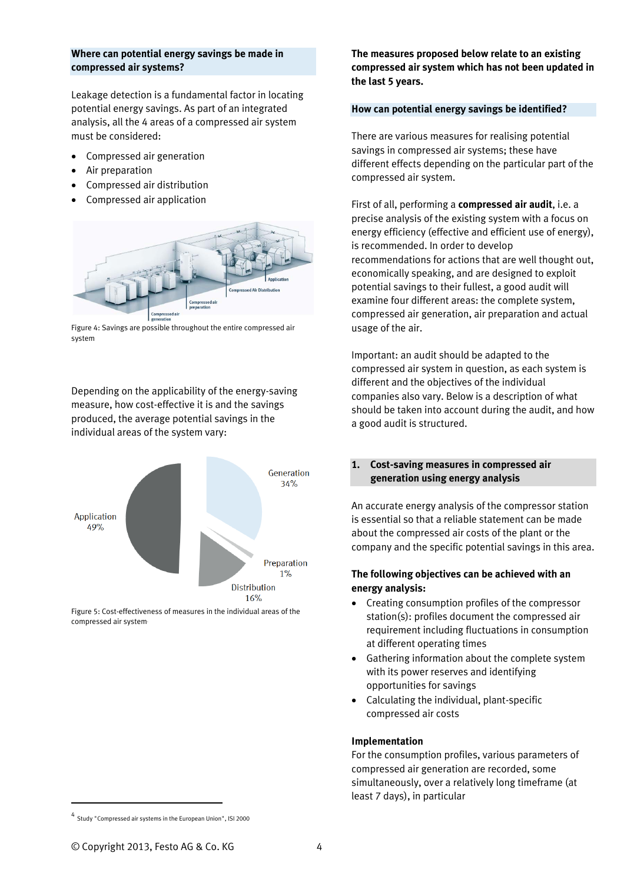#### **Where can potential energy savings be made in compressed air systems?**

Leakage detection is a fundamental factor in locating potential energy savings. As part of an integrated analysis, all the 4 areas of a compressed air system must be considered:

- Compressed air generation
- Air preparation
- Compressed air distribution
- Compressed air application



Figure 4: Savings are possible throughout the entire compressed air system

Depending on the applicability of the energy-saving measure, how cost-effective it is and the savings produced, the average potential savings in the individual areas of the system vary:



Figure 5: Cost-effectiveness of measures in the individual areas of the compressed air system4

**The measures proposed below relate to an existing compressed air system which has not been updated in the last 5 years.** 

# **How can potential energy savings be identified?**

There are various measures for realising potential savings in compressed air systems; these have different effects depending on the particular part of the compressed air system.

First of all, performing a **compressed air audit**, i.e. a precise analysis of the existing system with a focus on energy efficiency (effective and efficient use of energy), is recommended. In order to develop recommendations for actions that are well thought out, economically speaking, and are designed to exploit potential savings to their fullest, a good audit will examine four different areas: the complete system, compressed air generation, air preparation and actual usage of the air.

Important: an audit should be adapted to the compressed air system in question, as each system is different and the objectives of the individual companies also vary. Below is a description of what should be taken into account during the audit, and how a good audit is structured.

# **1. Cost-saving measures in compressed air generation using energy analysis**

An accurate energy analysis of the compressor station is essential so that a reliable statement can be made about the compressed air costs of the plant or the company and the specific potential savings in this area.

# **The following objectives can be achieved with an energy analysis:**

- Creating consumption profiles of the compressor station(s): profiles document the compressed air requirement including fluctuations in consumption at different operating times
- Gathering information about the complete system with its power reserves and identifying opportunities for savings
- Calculating the individual, plant-specific compressed air costs

# **Implementation**

For the consumption profiles, various parameters of compressed air generation are recorded, some simultaneously, over a relatively long timeframe (at least 7 days), in particular

j

<sup>4</sup> Study "Compressed air systems in the European Union", ISI 2000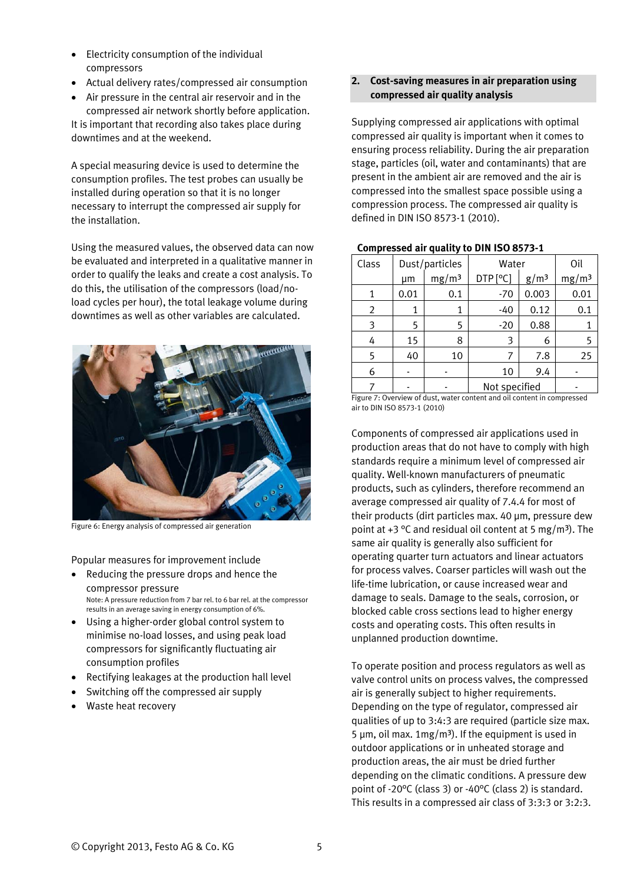- Electricity consumption of the individual compressors
- Actual delivery rates/compressed air consumption
- Air pressure in the central air reservoir and in the

compressed air network shortly before application. It is important that recording also takes place during downtimes and at the weekend.

A special measuring device is used to determine the consumption profiles. The test probes can usually be installed during operation so that it is no longer necessary to interrupt the compressed air supply for the installation.

Using the measured values, the observed data can now be evaluated and interpreted in a qualitative manner in order to qualify the leaks and create a cost analysis. To do this, the utilisation of the compressors (load/noload cycles per hour), the total leakage volume during downtimes as well as other variables are calculated.



Figure 6: Energy analysis of compressed air generation

Popular measures for improvement include

- Reducing the pressure drops and hence the compressor pressure Note: A pressure reduction from 7 bar rel. to 6 bar rel. at the compressor results in an average saving in energy consumption of 6%.
- Using a higher-order global control system to minimise no-load losses, and using peak load compressors for significantly fluctuating air consumption profiles
- Rectifying leakages at the production hall level
- Switching off the compressed air supply
- Waste heat recovery

# **2. Cost-saving measures in air preparation using compressed air quality analysis**

Supplying compressed air applications with optimal compressed air quality is important when it comes to ensuring process reliability. During the air preparation stage, particles (oil, water and contaminants) that are present in the ambient air are removed and the air is compressed into the smallest space possible using a compression process. The compressed air quality is defined in DIN ISO 8573-1 (2010).

| Class | Dust/particles |                   | Water         |                  | Oil               |
|-------|----------------|-------------------|---------------|------------------|-------------------|
|       | µm             | mg/m <sup>3</sup> | DTP [°C]      | g/m <sup>3</sup> | mg/m <sup>3</sup> |
|       | 0.01           | 0.1               | $-70$         | 0.003            | 0.01              |
| 2     | 1              | 1                 | $-40$         | 0.12             | 0.1               |
| 3     | 5              | 5                 | $-20$         | 0.88             |                   |
| 4     | 15             | 8                 | 3             | 6                | 5                 |
| 5     | 40             | 10                | 7             | 7.8              | 25                |
| 6     |                |                   | 10            | 9.4              |                   |
|       |                |                   | Not specified |                  |                   |

# **Compressed air quality to DIN ISO 8573-1**

Figure 7: Overview of dust, water content and oil content in compressed air to DIN ISO 8573-1 (2010)

Components of compressed air applications used in production areas that do not have to comply with high standards require a minimum level of compressed air quality. Well-known manufacturers of pneumatic products, such as cylinders, therefore recommend an average compressed air quality of 7.4.4 for most of their products (dirt particles max. 40 μm, pressure dew point at +3 °C and residual oil content at 5 mg/m<sup>3</sup>). The same air quality is generally also sufficient for operating quarter turn actuators and linear actuators for process valves. Coarser particles will wash out the life-time lubrication, or cause increased wear and damage to seals. Damage to the seals, corrosion, or blocked cable cross sections lead to higher energy costs and operating costs. This often results in unplanned production downtime.

To operate position and process regulators as well as valve control units on process valves, the compressed air is generally subject to higher requirements. Depending on the type of regulator, compressed air qualities of up to 3:4:3 are required (particle size max. 5  $\mu$ m, oil max. 1mg/m<sup>3</sup>). If the equipment is used in outdoor applications or in unheated storage and production areas, the air must be dried further depending on the climatic conditions. A pressure dew point of -20°C (class 3) or -40°C (class 2) is standard. This results in a compressed air class of 3:3:3 or 3:2:3.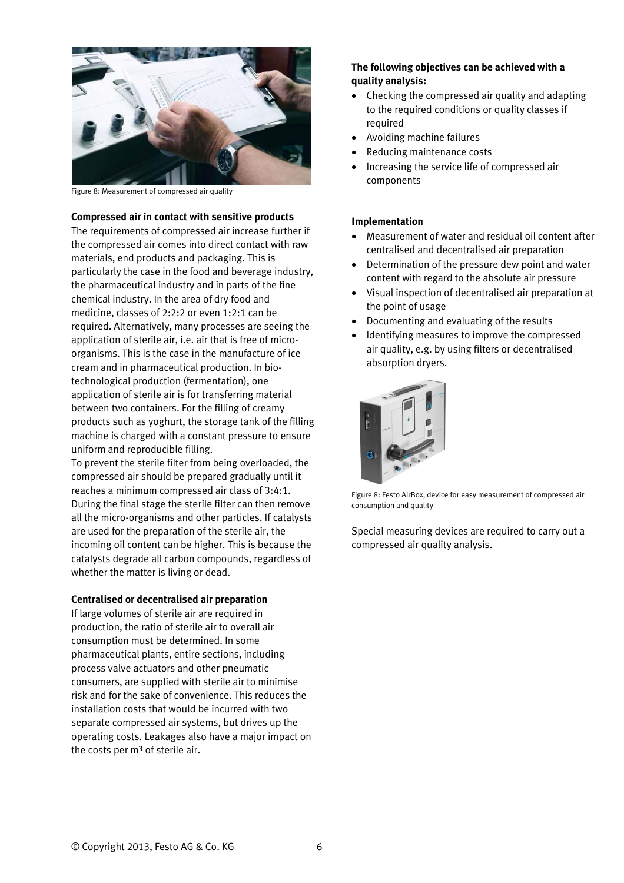

Figure 8: Measurement of compressed air quality

#### **Compressed air in contact with sensitive products**

The requirements of compressed air increase further if the compressed air comes into direct contact with raw materials, end products and packaging. This is particularly the case in the food and beverage industry, the pharmaceutical industry and in parts of the fine chemical industry. In the area of dry food and medicine, classes of 2:2:2 or even 1:2:1 can be required. Alternatively, many processes are seeing the application of sterile air, i.e. air that is free of microorganisms. This is the case in the manufacture of ice cream and in pharmaceutical production. In biotechnological production (fermentation), one application of sterile air is for transferring material between two containers. For the filling of creamy products such as yoghurt, the storage tank of the filling machine is charged with a constant pressure to ensure uniform and reproducible filling.

To prevent the sterile filter from being overloaded, the compressed air should be prepared gradually until it reaches a minimum compressed air class of 3:4:1. During the final stage the sterile filter can then remove all the micro-organisms and other particles. If catalysts are used for the preparation of the sterile air, the incoming oil content can be higher. This is because the catalysts degrade all carbon compounds, regardless of whether the matter is living or dead.

#### **Centralised or decentralised air preparation**

If large volumes of sterile air are required in production, the ratio of sterile air to overall air consumption must be determined. In some pharmaceutical plants, entire sections, including process valve actuators and other pneumatic consumers, are supplied with sterile air to minimise risk and for the sake of convenience. This reduces the installation costs that would be incurred with two separate compressed air systems, but drives up the operating costs. Leakages also have a major impact on the costs per  $m<sup>3</sup>$  of sterile air.

# **The following objectives can be achieved with a quality analysis:**

- Checking the compressed air quality and adapting to the required conditions or quality classes if required
- Avoiding machine failures
- Reducing maintenance costs
- Increasing the service life of compressed air components

#### **Implementation**

- Measurement of water and residual oil content after centralised and decentralised air preparation
- Determination of the pressure dew point and water content with regard to the absolute air pressure
- Visual inspection of decentralised air preparation at the point of usage
- Documenting and evaluating of the results
- Identifying measures to improve the compressed air quality, e.g. by using filters or decentralised absorption dryers.



Figure 8: Festo AirBox, device for easy measurement of compressed air consumption and quality

Special measuring devices are required to carry out a compressed air quality analysis.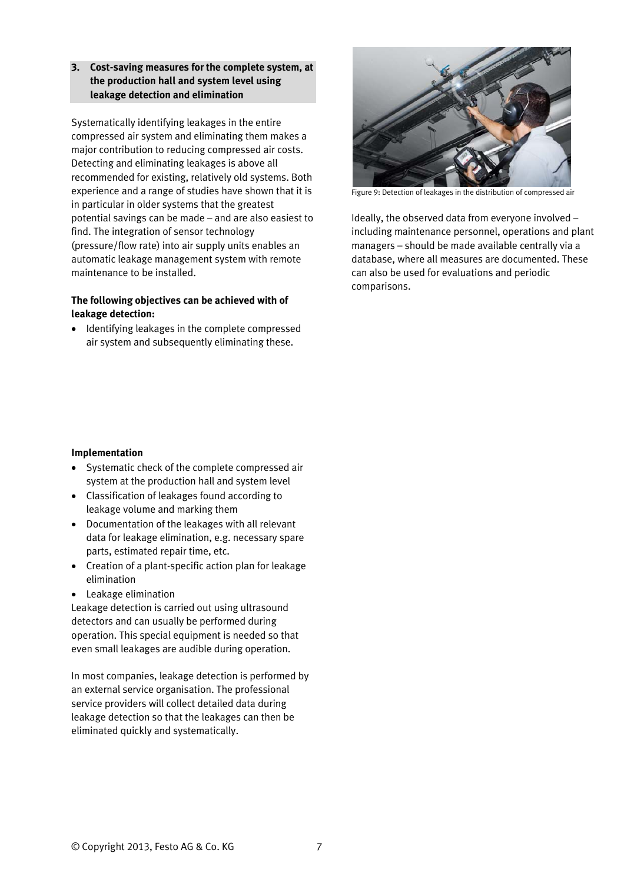# **3. Cost-saving measures for the complete system, at the production hall and system level using leakage detection and elimination**

Systematically identifying leakages in the entire compressed air system and eliminating them makes a major contribution to reducing compressed air costs. Detecting and eliminating leakages is above all recommended for existing, relatively old systems. Both experience and a range of studies have shown that it is in particular in older systems that the greatest potential savings can be made – and are also easiest to find. The integration of sensor technology (pressure/flow rate) into air supply units enables an automatic leakage management system with remote maintenance to be installed.

# **The following objectives can be achieved with of leakage detection:**

• Identifying leakages in the complete compressed air system and subsequently eliminating these.



Figure 9: Detection of leakages in the distribution of compressed air

Ideally, the observed data from everyone involved – including maintenance personnel, operations and plant managers – should be made available centrally via a database, where all measures are documented. These can also be used for evaluations and periodic comparisons.

# **Implementation**

- Systematic check of the complete compressed air system at the production hall and system level
- Classification of leakages found according to leakage volume and marking them
- Documentation of the leakages with all relevant data for leakage elimination, e.g. necessary spare parts, estimated repair time, etc.
- Creation of a plant-specific action plan for leakage elimination
- Leakage elimination

Leakage detection is carried out using ultrasound detectors and can usually be performed during operation. This special equipment is needed so that even small leakages are audible during operation.

In most companies, leakage detection is performed by an external service organisation. The professional service providers will collect detailed data during leakage detection so that the leakages can then be eliminated quickly and systematically.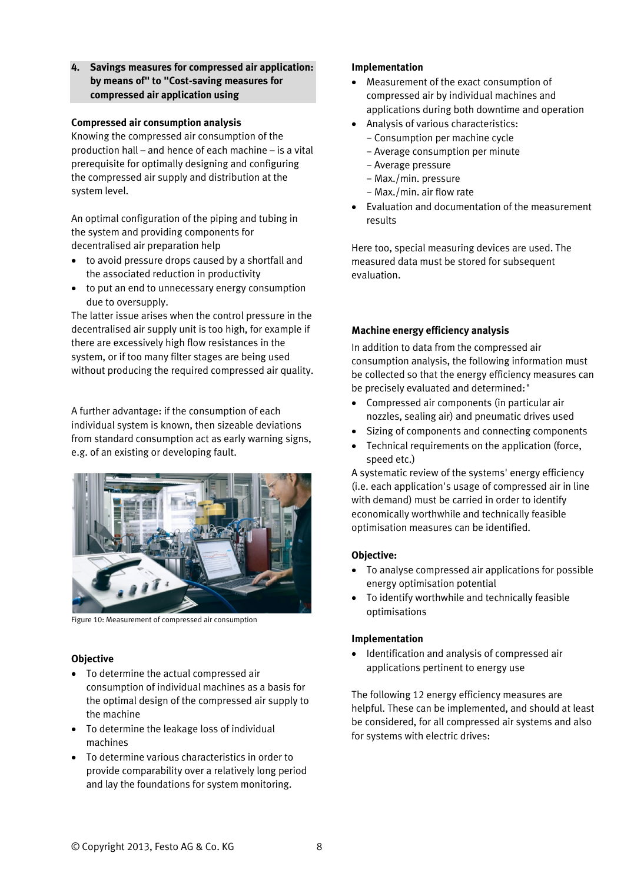**4. Savings measures for compressed air application: by means of" to "Cost-saving measures for compressed air application using** 

## **Compressed air consumption analysis**

Knowing the compressed air consumption of the production hall – and hence of each machine – is a vital prerequisite for optimally designing and configuring the compressed air supply and distribution at the system level.

An optimal configuration of the piping and tubing in the system and providing components for decentralised air preparation help

- to avoid pressure drops caused by a shortfall and the associated reduction in productivity
- to put an end to unnecessary energy consumption due to oversupply.

The latter issue arises when the control pressure in the decentralised air supply unit is too high, for example if there are excessively high flow resistances in the system, or if too many filter stages are being used without producing the required compressed air quality.

A further advantage: if the consumption of each individual system is known, then sizeable deviations from standard consumption act as early warning signs, e.g. of an existing or developing fault.



Figure 10: Measurement of compressed air consumption

# **Objective**

- To determine the actual compressed air consumption of individual machines as a basis for the optimal design of the compressed air supply to the machine
- To determine the leakage loss of individual machines
- To determine various characteristics in order to provide comparability over a relatively long period and lay the foundations for system monitoring.

# **Implementation**

- Measurement of the exact consumption of compressed air by individual machines and applications during both downtime and operation
- Analysis of various characteristics:
	- − Consumption per machine cycle
	- − Average consumption per minute
	- − Average pressure
	- − Max./min. pressure
	- − Max./min. air flow rate
- Evaluation and documentation of the measurement results

Here too, special measuring devices are used. The measured data must be stored for subsequent evaluation.

# **Machine energy efficiency analysis**

In addition to data from the compressed air consumption analysis, the following information must be collected so that the energy efficiency measures can be precisely evaluated and determined:"

- Compressed air components (in particular air nozzles, sealing air) and pneumatic drives used
- Sizing of components and connecting components
- Technical requirements on the application (force, speed etc.)

A systematic review of the systems' energy efficiency (i.e. each application's usage of compressed air in line with demand) must be carried in order to identify economically worthwhile and technically feasible optimisation measures can be identified.

# **Objective:**

- To analyse compressed air applications for possible energy optimisation potential
- To identify worthwhile and technically feasible optimisations

# **Implementation**

 $\bullet$  Identification and analysis of compressed air applications pertinent to energy use

The following 12 energy efficiency measures are helpful. These can be implemented, and should at least be considered, for all compressed air systems and also for systems with electric drives: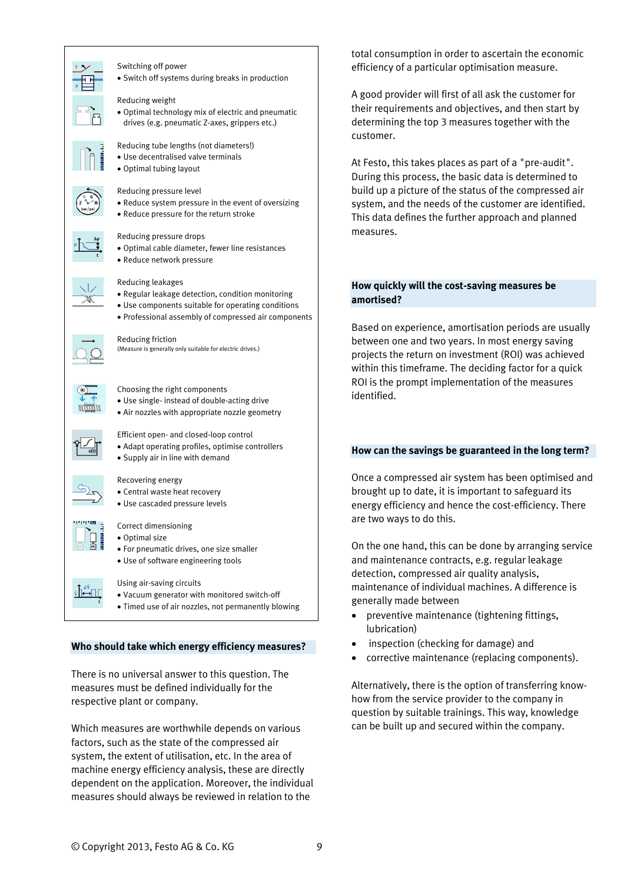

#### Switching off power

Switch off systems during breaks in production

Reducing weight

 Optimal technology mix of electric and pneumatic drives (e.g. pneumatic Z-axes, grippers etc.)



- Reducing tube lengths (not diameters!) Use decentralised valve terminals
- Optimal tubing layout

#### Reducing pressure level

- Reduce system pressure in the event of oversizing
- Reduce pressure for the return stroke



#### Reducing pressure drops

- Optimal cable diameter, fewer line resistances
- Reduce network pressure

#### Reducing leakages

- Regular leakage detection, condition monitoring
- Use components suitable for operating conditions
- Professional assembly of compressed air components



# Reducing friction

(Measure is generally only suitable for electric drives.)



#### Choosing the right components

- Use single- instead of double-acting drive
- Air nozzles with appropriate nozzle geometry

#### Efficient open- and closed-loop control

- Adapt operating profiles, optimise controllers
- Supply air in line with demand

#### Recovering energy

- Central waste heat recovery
- Use cascaded pressure levels

#### Correct dimensioning

- Optimal size
- For pneumatic drives, one size smaller
- Use of software engineering tools

#### Using air-saving circuits

- Vacuum generator with monitored switch-off
- Timed use of air nozzles, not permanently blowing

#### **Who should take which energy efficiency measures?**

There is no universal answer to this question. The measures must be defined individually for the respective plant or company.

Which measures are worthwhile depends on various factors, such as the state of the compressed air system, the extent of utilisation, etc. In the area of machine energy efficiency analysis, these are directly dependent on the application. Moreover, the individual measures should always be reviewed in relation to the

total consumption in order to ascertain the economic efficiency of a particular optimisation measure.

A good provider will first of all ask the customer for their requirements and objectives, and then start by determining the top 3 measures together with the customer.

At Festo, this takes places as part of a "pre-audit". During this process, the basic data is determined to build up a picture of the status of the compressed air system, and the needs of the customer are identified. This data defines the further approach and planned measures.

## **How quickly will the cost-saving measures be amortised?**

Based on experience, amortisation periods are usually between one and two years. In most energy saving projects the return on investment (ROI) was achieved within this timeframe. The deciding factor for a quick ROI is the prompt implementation of the measures identified.

# **How can the savings be guaranteed in the long term?**

Once a compressed air system has been optimised and brought up to date, it is important to safeguard its energy efficiency and hence the cost-efficiency. There are two ways to do this.

On the one hand, this can be done by arranging service and maintenance contracts, e.g. regular leakage detection, compressed air quality analysis, maintenance of individual machines. A difference is generally made between

- preventive maintenance (tightening fittings, lubrication)
- inspection (checking for damage) and
- corrective maintenance (replacing components).

Alternatively, there is the option of transferring knowhow from the service provider to the company in question by suitable trainings. This way, knowledge can be built up and secured within the company.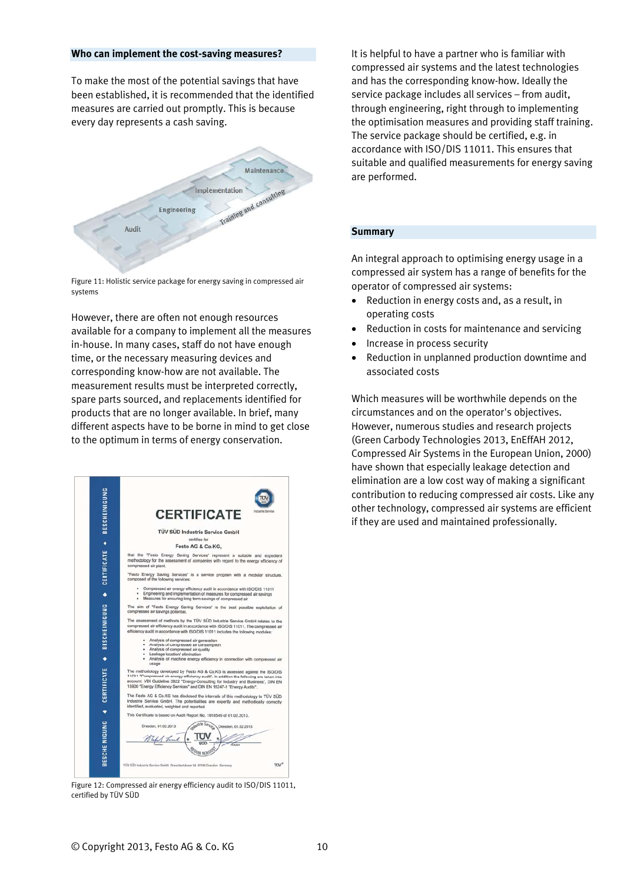#### **Who can implement the cost-saving measures?**

To make the most of the potential savings that have been established, it is recommended that the identified measures are carried out promptly. This is because every day represents a cash saving.



Figure 11: Holistic service package for energy saving in compressed air systems

However, there are often not enough resources available for a company to implement all the measures in-house. In many cases, staff do not have enough time, or the necessary measuring devices and corresponding know-how are not available. The measurement results must be interpreted correctly, spare parts sourced, and replacements identified for products that are no longer available. In brief, many different aspects have to be borne in mind to get close to the optimum in terms of energy conservation.



Figure 12: Compressed air energy efficiency audit to ISO/DIS 11011, certified by TÜV SÜD

It is helpful to have a partner who is familiar with compressed air systems and the latest technologies and has the corresponding know-how. Ideally the service package includes all services – from audit, through engineering, right through to implementing the optimisation measures and providing staff training. The service package should be certified, e.g. in accordance with ISO/DIS 11011. This ensures that suitable and qualified measurements for energy saving are performed.

#### **Summary**

An integral approach to optimising energy usage in a compressed air system has a range of benefits for the operator of compressed air systems:

- Reduction in energy costs and, as a result, in operating costs
- Reduction in costs for maintenance and servicing
- Increase in process security
- Reduction in unplanned production downtime and associated costs

Which measures will be worthwhile depends on the circumstances and on the operator's objectives. However, numerous studies and research projects (Green Carbody Technologies 2013, EnEffAH 2012, Compressed Air Systems in the European Union, 2000) have shown that especially leakage detection and elimination are a low cost way of making a significant contribution to reducing compressed air costs. Like any other technology, compressed air systems are efficient if they are used and maintained professionally.